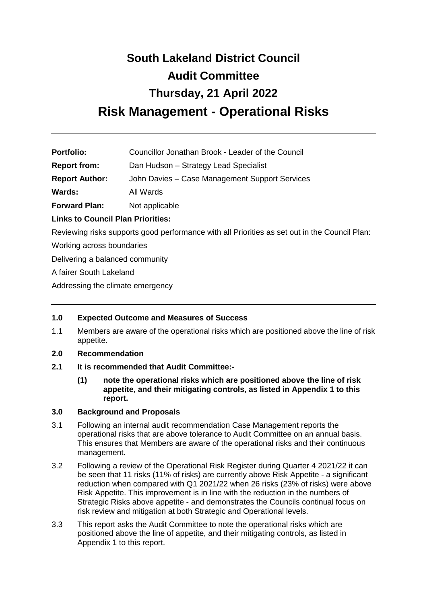# **South Lakeland District Council Audit Committee Thursday, 21 April 2022 Risk Management - Operational Risks**

| <b>Portfolio:</b> | Councillor Jonathan Brook - Leader of the Council |
|-------------------|---------------------------------------------------|
|                   |                                                   |

**Report from:** Dan Hudson – Strategy Lead Specialist

**Report Author:** John Davies – Case Management Support Services

**Wards:** All Wards

**Forward Plan:** Not applicable

**Links to Council Plan Priorities:**

Reviewing risks supports good performance with all Priorities as set out in the Council Plan:

Working across boundaries

Delivering a balanced community

A fairer South Lakeland

Addressing the climate emergency

# **1.0 Expected Outcome and Measures of Success**

1.1 Members are aware of the operational risks which are positioned above the line of risk appetite.

#### **2.0 Recommendation**

- **2.1 It is recommended that Audit Committee:-**
	- **(1) note the operational risks which are positioned above the line of risk appetite, and their mitigating controls, as listed in Appendix 1 to this report.**

# **3.0 Background and Proposals**

- 3.1 Following an internal audit recommendation Case Management reports the operational risks that are above tolerance to Audit Committee on an annual basis. This ensures that Members are aware of the operational risks and their continuous management.
- 3.2 Following a review of the Operational Risk Register during Quarter 4 2021/22 it can be seen that 11 risks (11% of risks) are currently above Risk Appetite - a significant reduction when compared with Q1 2021/22 when 26 risks (23% of risks) were above Risk Appetite. This improvement is in line with the reduction in the numbers of Strategic Risks above appetite - and demonstrates the Councils continual focus on risk review and mitigation at both Strategic and Operational levels.
- 3.3 This report asks the Audit Committee to note the operational risks which are positioned above the line of appetite, and their mitigating controls, as listed in Appendix 1 to this report.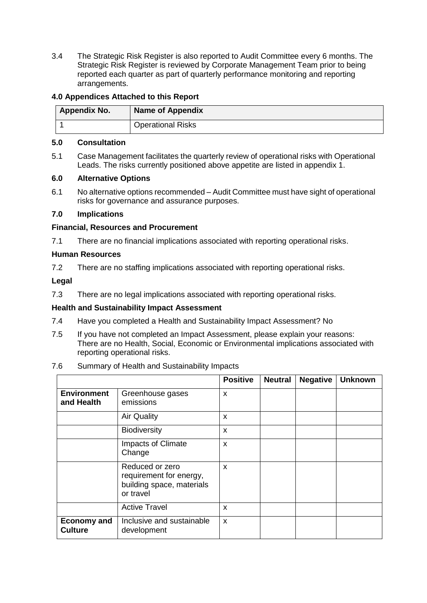3.4 The Strategic Risk Register is also reported to Audit Committee every 6 months. The Strategic Risk Register is reviewed by Corporate Management Team prior to being reported each quarter as part of quarterly performance monitoring and reporting arrangements.

# **4.0 Appendices Attached to this Report**

| <b>Appendix No.</b> | <b>Name of Appendix</b>  |
|---------------------|--------------------------|
|                     | <b>Operational Risks</b> |

#### **5.0 Consultation**

5.1 Case Management facilitates the quarterly review of operational risks with Operational Leads. The risks currently positioned above appetite are listed in appendix 1.

#### **6.0 Alternative Options**

6.1 No alternative options recommended – Audit Committee must have sight of operational risks for governance and assurance purposes.

#### **7.0 Implications**

#### **Financial, Resources and Procurement**

7.1 There are no financial implications associated with reporting operational risks.

#### **Human Resources**

7.2 There are no staffing implications associated with reporting operational risks.

**Legal**

7.3 There are no legal implications associated with reporting operational risks.

#### **Health and Sustainability Impact Assessment**

- 7.4 Have you completed a Health and Sustainability Impact Assessment? No
- 7.5 If you have not completed an Impact Assessment, please explain your reasons: There are no Health, Social, Economic or Environmental implications associated with reporting operational risks.

#### 7.6 Summary of Health and Sustainability Impacts

|                                      |                                                                                      | <b>Positive</b> | <b>Neutral</b> | <b>Negative</b> | <b>Unknown</b> |
|--------------------------------------|--------------------------------------------------------------------------------------|-----------------|----------------|-----------------|----------------|
| <b>Environment</b><br>and Health     | Greenhouse gases<br>emissions                                                        | X               |                |                 |                |
|                                      | <b>Air Quality</b>                                                                   | X               |                |                 |                |
|                                      | <b>Biodiversity</b>                                                                  | X               |                |                 |                |
|                                      | Impacts of Climate<br>Change                                                         | X               |                |                 |                |
|                                      | Reduced or zero<br>requirement for energy,<br>building space, materials<br>or travel | X               |                |                 |                |
|                                      | <b>Active Travel</b>                                                                 | X               |                |                 |                |
| <b>Economy and</b><br><b>Culture</b> | Inclusive and sustainable<br>development                                             | X               |                |                 |                |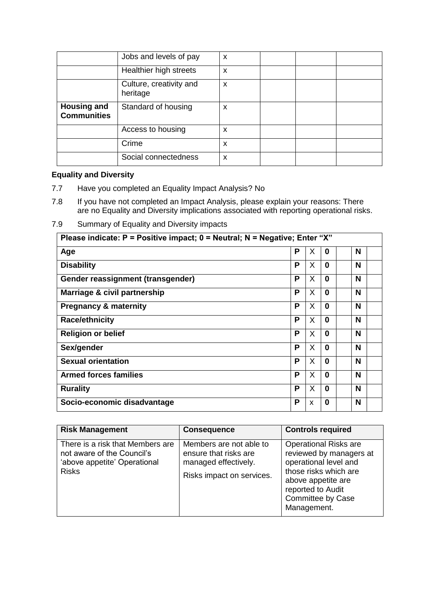|                                          | Jobs and levels of pay              | X |  |  |
|------------------------------------------|-------------------------------------|---|--|--|
|                                          | Healthier high streets              | X |  |  |
|                                          | Culture, creativity and<br>heritage | X |  |  |
| <b>Housing and</b><br><b>Communities</b> | Standard of housing                 | X |  |  |
|                                          | Access to housing                   | X |  |  |
|                                          | Crime                               | X |  |  |
|                                          | Social connectedness                | X |  |  |

# **Equality and Diversity**

- 7.7 Have you completed an Equality Impact Analysis? No
- 7.8 If you have not completed an Impact Analysis, please explain your reasons: There are no Equality and Diversity implications associated with reporting operational risks.
- 7.9 Summary of Equality and Diversity impacts

| Please indicate: $P =$ Positive impact; $0 =$ Neutral; N = Negative; Enter "X" |   |   |              |   |
|--------------------------------------------------------------------------------|---|---|--------------|---|
| Age                                                                            | P | X | 0            | N |
| <b>Disability</b>                                                              | P | X | $\bf{0}$     | N |
| Gender reassignment (transgender)                                              | P | X | $\bf{0}$     | N |
| Marriage & civil partnership                                                   | P | X | $\Omega$     | N |
| <b>Pregnancy &amp; maternity</b>                                               | P | X | $\bf{0}$     | N |
| <b>Race/ethnicity</b>                                                          | P | X | $\mathbf{0}$ | N |
| <b>Religion or belief</b>                                                      | P | X | 0            | N |
| Sex/gender                                                                     | P | X | $\bf{0}$     | N |
| <b>Sexual orientation</b>                                                      | P | X | $\bf{0}$     | N |
| <b>Armed forces families</b>                                                   | P | X | $\bf{0}$     | N |
| <b>Rurality</b>                                                                | P | X | $\bf{0}$     | N |
| Socio-economic disadvantage                                                    | P | X | 0            | N |

| <b>Risk Management</b>                                                                                         | <b>Consequence</b>                                                                                    | <b>Controls required</b>                                                                                                                                                                        |
|----------------------------------------------------------------------------------------------------------------|-------------------------------------------------------------------------------------------------------|-------------------------------------------------------------------------------------------------------------------------------------------------------------------------------------------------|
| There is a risk that Members are<br>not aware of the Council's<br>'above appetite' Operational<br><b>Risks</b> | Members are not able to<br>ensure that risks are<br>managed effectively.<br>Risks impact on services. | <b>Operational Risks are</b><br>reviewed by managers at<br>operational level and<br>those risks which are<br>above appetite are<br>reported to Audit<br><b>Committee by Case</b><br>Management. |